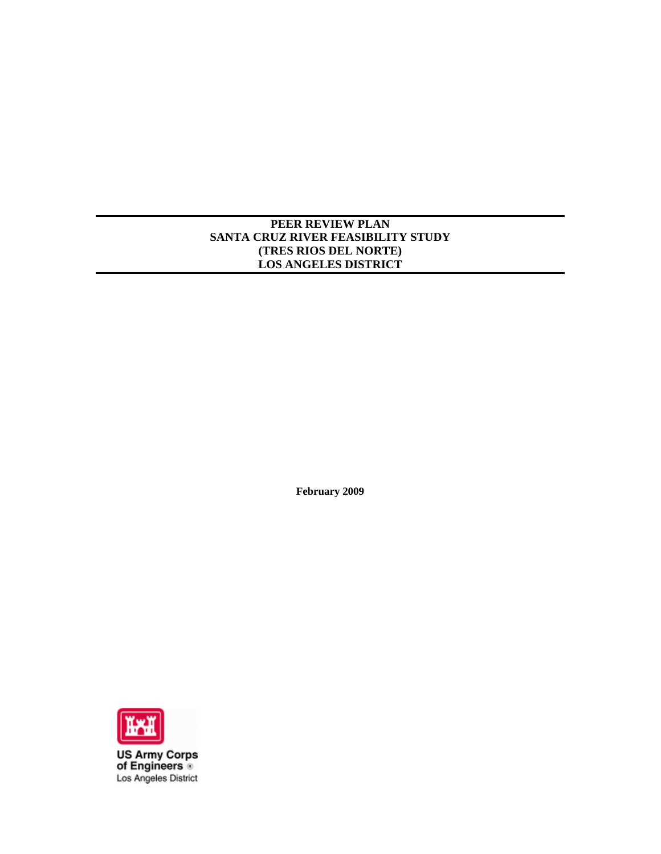# **PEER REVIEW PLAN SANTA CRUZ RIVER FEASIBILITY STUDY (TRES RIOS DEL NORTE) LOS ANGELES DISTRICT**

**February 2009** 



**US Army Corps<br>of Engineers** Los Angeles District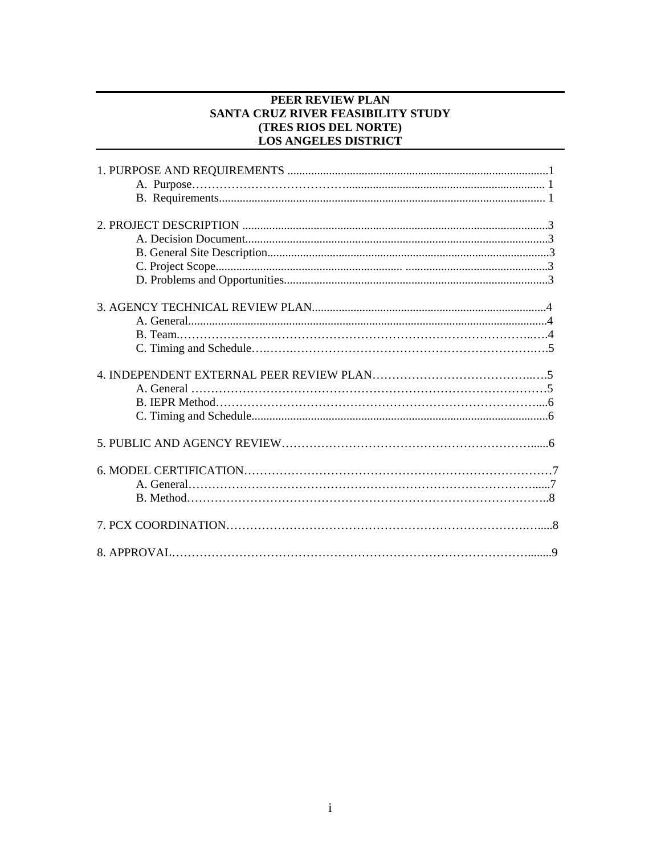## PEER REVIEW PLAN SANTA CRUZ RIVER FEASIBILITY STUDY (TRES RIOS DEL NORTE) **LOS ANGELES DISTRICT**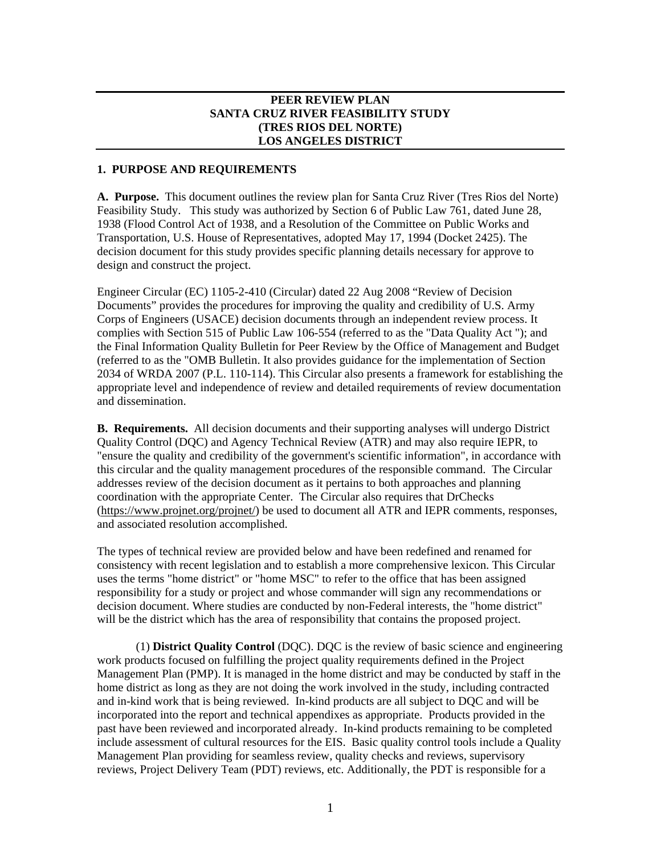## **PEER REVIEW PLAN SANTA CRUZ RIVER FEASIBILITY STUDY (TRES RIOS DEL NORTE) LOS ANGELES DISTRICT**

### **1. PURPOSE AND REQUIREMENTS**

**A. Purpose.** This document outlines the review plan for Santa Cruz River (Tres Rios del Norte) Feasibility Study. This study was authorized by Section 6 of Public Law 761, dated June 28, 1938 (Flood Control Act of 1938, and a Resolution of the Committee on Public Works and Transportation, U.S. House of Representatives, adopted May 17, 1994 (Docket 2425). The decision document for this study provides specific planning details necessary for approve to design and construct the project.

Engineer Circular (EC) 1105-2-410 (Circular) dated 22 Aug 2008 "Review of Decision Documents" provides the procedures for improving the quality and credibility of U.S. Army Corps of Engineers (USACE) decision documents through an independent review process. It complies with Section 515 of Public Law 106-554 (referred to as the "Data Quality Act "); and the Final Information Quality Bulletin for Peer Review by the Office of Management and Budget (referred to as the "OMB Bulletin. It also provides guidance for the implementation of Section 2034 of WRDA 2007 (P.L. 110-114). This Circular also presents a framework for establishing the appropriate level and independence of review and detailed requirements of review documentation and dissemination.

**B. Requirements.** All decision documents and their supporting analyses will undergo District Quality Control (DQC) and Agency Technical Review (ATR) and may also require IEPR, to "ensure the quality and credibility of the government's scientific information", in accordance with this circular and the quality management procedures of the responsible command. The Circular addresses review of the decision document as it pertains to both approaches and planning coordination with the appropriate Center. The Circular also requires that DrChecks (https://www.projnet.org/projnet/) be used to document all ATR and IEPR comments, responses, and associated resolution accomplished.

The types of technical review are provided below and have been redefined and renamed for consistency with recent legislation and to establish a more comprehensive lexicon. This Circular uses the terms "home district" or "home MSC" to refer to the office that has been assigned responsibility for a study or project and whose commander will sign any recommendations or decision document. Where studies are conducted by non-Federal interests, the "home district" will be the district which has the area of responsibility that contains the proposed project.

(1) **District Quality Control** (DQC). DQC is the review of basic science and engineering work products focused on fulfilling the project quality requirements defined in the Project Management Plan (PMP). It is managed in the home district and may be conducted by staff in the home district as long as they are not doing the work involved in the study, including contracted and in-kind work that is being reviewed. In-kind products are all subject to DQC and will be incorporated into the report and technical appendixes as appropriate. Products provided in the past have been reviewed and incorporated already. In-kind products remaining to be completed include assessment of cultural resources for the EIS. Basic quality control tools include a Quality Management Plan providing for seamless review, quality checks and reviews, supervisory reviews, Project Delivery Team (PDT) reviews, etc. Additionally, the PDT is responsible for a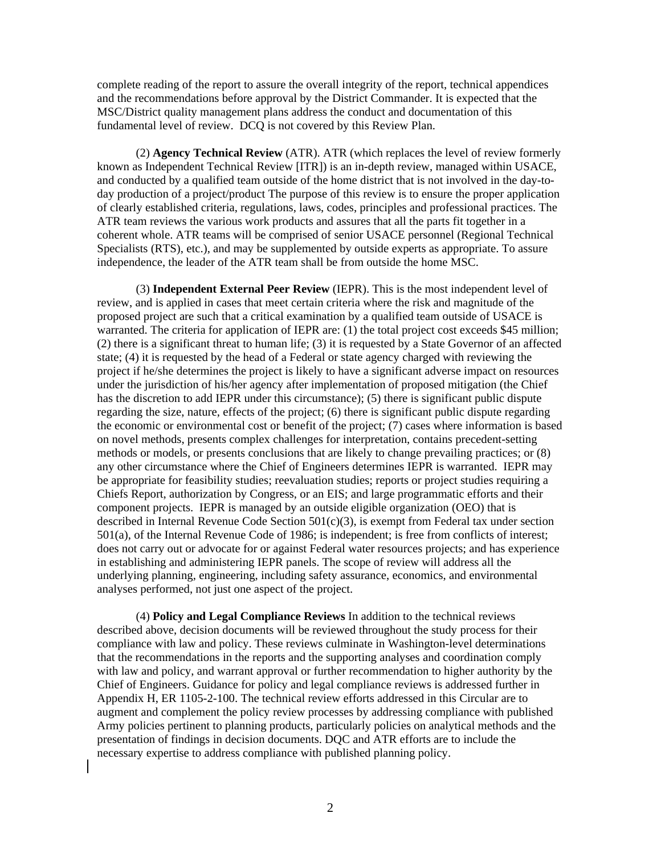complete reading of the report to assure the overall integrity of the report, technical appendices and the recommendations before approval by the District Commander. It is expected that the MSC/District quality management plans address the conduct and documentation of this fundamental level of review. DCQ is not covered by this Review Plan.

(2) **Agency Technical Review** (ATR). ATR (which replaces the level of review formerly known as Independent Technical Review [ITR]) is an in-depth review, managed within USACE, and conducted by a qualified team outside of the home district that is not involved in the day-today production of a project/product The purpose of this review is to ensure the proper application of clearly established criteria, regulations, laws, codes, principles and professional practices. The ATR team reviews the various work products and assures that all the parts fit together in a coherent whole. ATR teams will be comprised of senior USACE personnel (Regional Technical Specialists (RTS), etc.), and may be supplemented by outside experts as appropriate. To assure independence, the leader of the ATR team shall be from outside the home MSC.

(3) **Independent External Peer Review** (IEPR). This is the most independent level of review, and is applied in cases that meet certain criteria where the risk and magnitude of the proposed project are such that a critical examination by a qualified team outside of USACE is warranted. The criteria for application of IEPR are: (1) the total project cost exceeds \$45 million; (2) there is a significant threat to human life; (3) it is requested by a State Governor of an affected state; (4) it is requested by the head of a Federal or state agency charged with reviewing the project if he/she determines the project is likely to have a significant adverse impact on resources under the jurisdiction of his/her agency after implementation of proposed mitigation (the Chief has the discretion to add IEPR under this circumstance); (5) there is significant public dispute regarding the size, nature, effects of the project; (6) there is significant public dispute regarding the economic or environmental cost or benefit of the project; (7) cases where information is based on novel methods, presents complex challenges for interpretation, contains precedent-setting methods or models, or presents conclusions that are likely to change prevailing practices; or (8) any other circumstance where the Chief of Engineers determines IEPR is warranted. IEPR may be appropriate for feasibility studies; reevaluation studies; reports or project studies requiring a Chiefs Report, authorization by Congress, or an EIS; and large programmatic efforts and their component projects. IEPR is managed by an outside eligible organization (OEO) that is described in Internal Revenue Code Section 501(c)(3), is exempt from Federal tax under section 501(a), of the Internal Revenue Code of 1986; is independent; is free from conflicts of interest; does not carry out or advocate for or against Federal water resources projects; and has experience in establishing and administering IEPR panels. The scope of review will address all the underlying planning, engineering, including safety assurance, economics, and environmental analyses performed, not just one aspect of the project.

(4) **Policy and Legal Compliance Reviews** In addition to the technical reviews described above, decision documents will be reviewed throughout the study process for their compliance with law and policy. These reviews culminate in Washington-level determinations that the recommendations in the reports and the supporting analyses and coordination comply with law and policy, and warrant approval or further recommendation to higher authority by the Chief of Engineers. Guidance for policy and legal compliance reviews is addressed further in Appendix H, ER 1105-2-100. The technical review efforts addressed in this Circular are to augment and complement the policy review processes by addressing compliance with published Army policies pertinent to planning products, particularly policies on analytical methods and the presentation of findings in decision documents. DQC and ATR efforts are to include the necessary expertise to address compliance with published planning policy.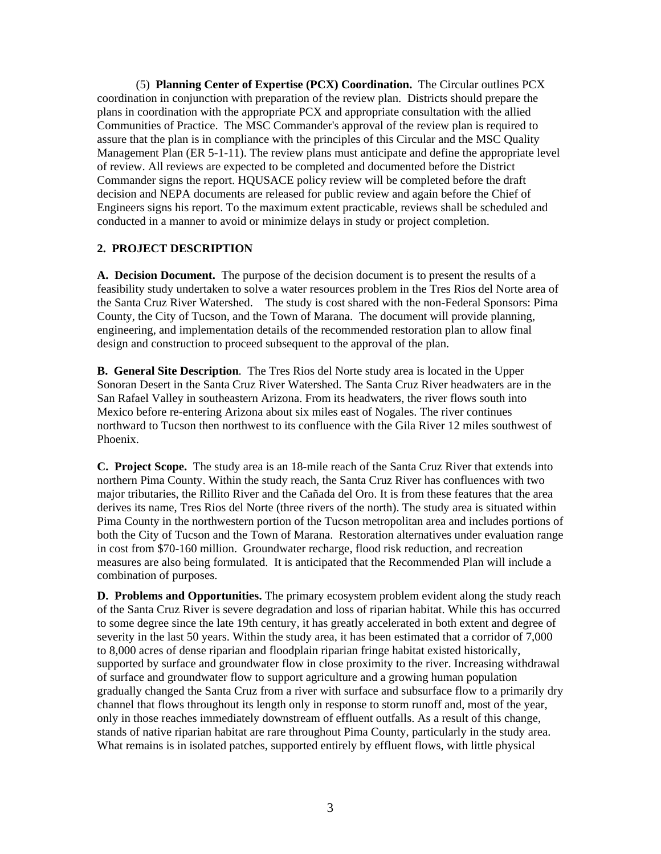(5) **Planning Center of Expertise (PCX) Coordination.** The Circular outlines PCX coordination in conjunction with preparation of the review plan. Districts should prepare the plans in coordination with the appropriate PCX and appropriate consultation with the allied Communities of Practice. The MSC Commander's approval of the review plan is required to assure that the plan is in compliance with the principles of this Circular and the MSC Quality Management Plan (ER 5-1-11). The review plans must anticipate and define the appropriate level of review. All reviews are expected to be completed and documented before the District Commander signs the report. HQUSACE policy review will be completed before the draft decision and NEPA documents are released for public review and again before the Chief of Engineers signs his report. To the maximum extent practicable, reviews shall be scheduled and conducted in a manner to avoid or minimize delays in study or project completion.

#### **2. PROJECT DESCRIPTION**

**A. Decision Document.** The purpose of the decision document is to present the results of a feasibility study undertaken to solve a water resources problem in the Tres Rios del Norte area of the Santa Cruz River Watershed. The study is cost shared with the non-Federal Sponsors: Pima County, the City of Tucson, and the Town of Marana. The document will provide planning, engineering, and implementation details of the recommended restoration plan to allow final design and construction to proceed subsequent to the approval of the plan.

**B. General Site Description**. The Tres Rios del Norte study area is located in the Upper Sonoran Desert in the Santa Cruz River Watershed. The Santa Cruz River headwaters are in the San Rafael Valley in southeastern Arizona. From its headwaters, the river flows south into Mexico before re-entering Arizona about six miles east of Nogales. The river continues northward to Tucson then northwest to its confluence with the Gila River 12 miles southwest of Phoenix.

**C. Project Scope.** The study area is an 18-mile reach of the Santa Cruz River that extends into northern Pima County. Within the study reach, the Santa Cruz River has confluences with two major tributaries, the Rillito River and the Cañada del Oro. It is from these features that the area derives its name, Tres Rios del Norte (three rivers of the north). The study area is situated within Pima County in the northwestern portion of the Tucson metropolitan area and includes portions of both the City of Tucson and the Town of Marana. Restoration alternatives under evaluation range in cost from \$70-160 million. Groundwater recharge, flood risk reduction, and recreation measures are also being formulated. It is anticipated that the Recommended Plan will include a combination of purposes.

**D. Problems and Opportunities.** The primary ecosystem problem evident along the study reach of the Santa Cruz River is severe degradation and loss of riparian habitat. While this has occurred to some degree since the late 19th century, it has greatly accelerated in both extent and degree of severity in the last 50 years. Within the study area, it has been estimated that a corridor of 7,000 to 8,000 acres of dense riparian and floodplain riparian fringe habitat existed historically, supported by surface and groundwater flow in close proximity to the river. Increasing withdrawal of surface and groundwater flow to support agriculture and a growing human population gradually changed the Santa Cruz from a river with surface and subsurface flow to a primarily dry channel that flows throughout its length only in response to storm runoff and, most of the year, only in those reaches immediately downstream of effluent outfalls. As a result of this change, stands of native riparian habitat are rare throughout Pima County, particularly in the study area. What remains is in isolated patches, supported entirely by effluent flows, with little physical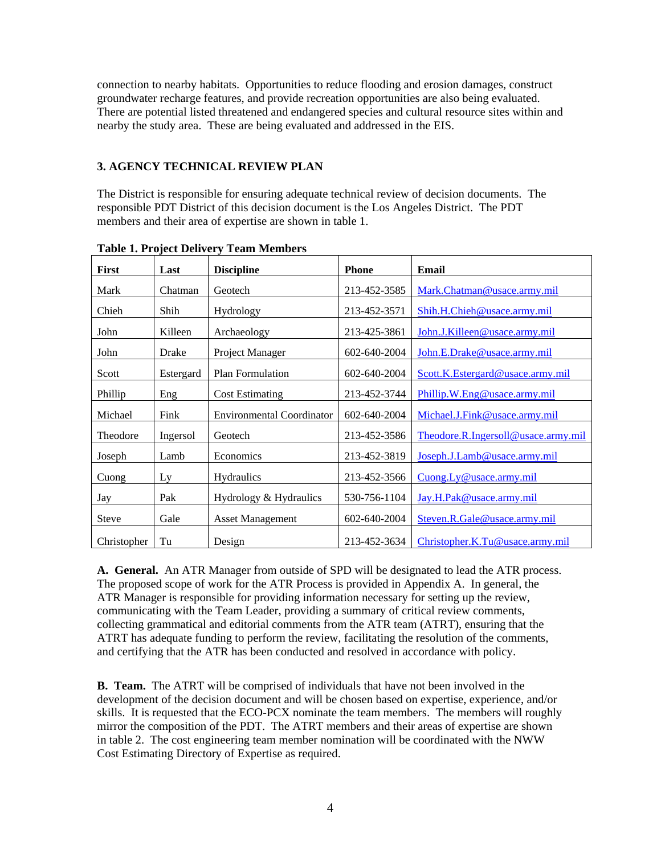connection to nearby habitats. Opportunities to reduce flooding and erosion damages, construct groundwater recharge features, and provide recreation opportunities are also being evaluated. There are potential listed threatened and endangered species and cultural resource sites within and nearby the study area. These are being evaluated and addressed in the EIS.

## **3. AGENCY TECHNICAL REVIEW PLAN**

The District is responsible for ensuring adequate technical review of decision documents. The responsible PDT District of this decision document is the Los Angeles District. The PDT members and their area of expertise are shown in table 1.

| <b>First</b> | Last      | <b>Discipline</b>                | <b>Phone</b> | Email                               |
|--------------|-----------|----------------------------------|--------------|-------------------------------------|
| Mark         | Chatman   | Geotech                          | 213-452-3585 | Mark.Chatman@usace.army.mil         |
| Chieh        | Shih      | Hydrology                        | 213-452-3571 | Shih.H.Chieh@usace.army.mil         |
| John         | Killeen   | Archaeology                      | 213-425-3861 | John.J.Killeen@usace.army.mil       |
| John         | Drake     | Project Manager                  | 602-640-2004 | John.E.Drake@usace.army.mil         |
| Scott        | Estergard | Plan Formulation                 | 602-640-2004 | Scott.K.Estergard@usace.army.mil    |
| Phillip      | Eng       | <b>Cost Estimating</b>           | 213-452-3744 | Phillip.W.Eng@usace.army.mil        |
| Michael      | Fink      | <b>Environmental Coordinator</b> | 602-640-2004 | Michael.J.Fink@usace.army.mil       |
| Theodore     | Ingersol  | Geotech                          | 213-452-3586 | Theodore.R.Ingersoll@usace.army.mil |
| Joseph       | Lamb      | Economics                        | 213-452-3819 | Joseph.J.Lamb@usace.army.mil        |
| Cuong        | Ly        | Hydraulics                       | 213-452-3566 | Cuong.Ly@usace.army.mil             |
| Jay          | Pak       | Hydrology & Hydraulics           | 530-756-1104 | Jay.H.Pak@usace.army.mil            |
| <b>Steve</b> | Gale      | <b>Asset Management</b>          | 602-640-2004 | Steven.R.Gale@usace.army.mil        |
| Christopher  | Tu        | Design                           | 213-452-3634 | Christopher.K.Tu@usace.army.mil     |

**Table 1. Project Delivery Team Members** 

**A. General.** An ATR Manager from outside of SPD will be designated to lead the ATR process. The proposed scope of work for the ATR Process is provided in Appendix A. In general, the ATR Manager is responsible for providing information necessary for setting up the review, communicating with the Team Leader, providing a summary of critical review comments, collecting grammatical and editorial comments from the ATR team (ATRT), ensuring that the ATRT has adequate funding to perform the review, facilitating the resolution of the comments, and certifying that the ATR has been conducted and resolved in accordance with policy.

**B. Team.** The ATRT will be comprised of individuals that have not been involved in the development of the decision document and will be chosen based on expertise, experience, and/or skills. It is requested that the ECO-PCX nominate the team members. The members will roughly mirror the composition of the PDT. The ATRT members and their areas of expertise are shown in table 2. The cost engineering team member nomination will be coordinated with the NWW Cost Estimating Directory of Expertise as required.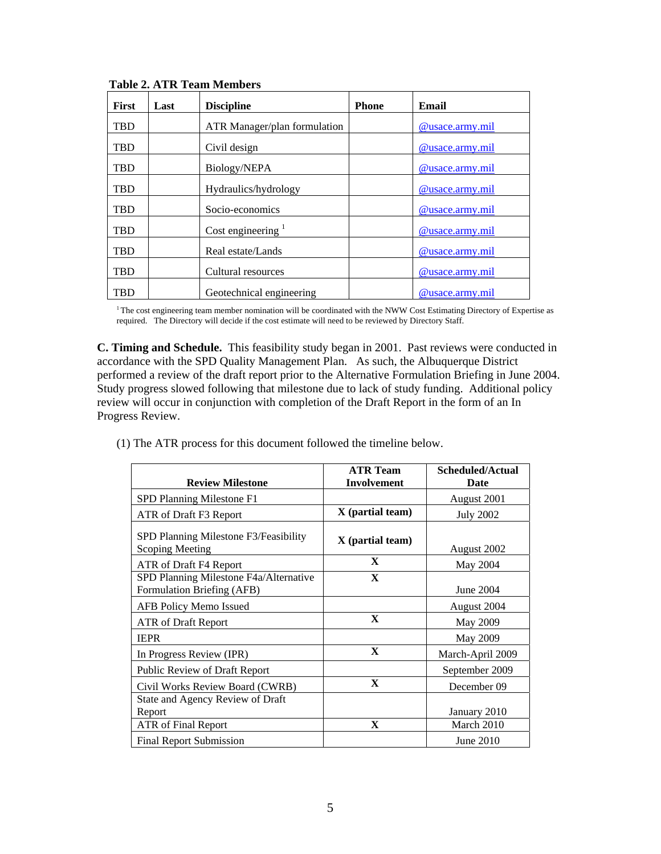| First      | Last | <b>Discipline</b>            | <b>Phone</b> | Email                  |
|------------|------|------------------------------|--------------|------------------------|
| TBD        |      | ATR Manager/plan formulation |              | @usace.army.mil        |
| TBD        |      | Civil design                 |              | @usace.army.mil        |
| <b>TBD</b> |      | Biology/NEPA                 |              | @usace.army.mil        |
| TBD        |      | Hydraulics/hydrology         |              | @usace.army.mil        |
| TBD        |      | Socio-economics              |              | <u>@usace.army.mil</u> |
| TBD        |      | Cost engineering $1$         |              | @usace.army.mil        |
| <b>TBD</b> |      | Real estate/Lands            |              | @usace.army.mil        |
| TBD        |      | Cultural resources           |              | @usace.army.mil        |
| TBD        |      | Geotechnical engineering     |              | @usace.army.mil        |

 **Table 2. ATR Team Members** 

<sup>1</sup>The cost engineering team member nomination will be coordinated with the NWW Cost Estimating Directory of Expertise as required. The Directory will decide if the cost estimate will need to be reviewed by Directory Staff.

**C. Timing and Schedule.** This feasibility study began in 2001. Past reviews were conducted in accordance with the SPD Quality Management Plan. As such, the Albuquerque District performed a review of the draft report prior to the Alternative Formulation Briefing in June 2004. Study progress slowed following that milestone due to lack of study funding. Additional policy review will occur in conjunction with completion of the Draft Report in the form of an In Progress Review.

(1) The ATR process for this document followed the timeline below.

|                                                                      | <b>ATR Team</b>    | Scheduled/Actual |
|----------------------------------------------------------------------|--------------------|------------------|
| <b>Review Milestone</b>                                              | <b>Involvement</b> | Date             |
| SPD Planning Milestone F1                                            |                    | August 2001      |
| ATR of Draft F3 Report                                               | $X$ (partial team) | <b>July 2002</b> |
| SPD Planning Milestone F3/Feasibility<br><b>Scoping Meeting</b>      | $X$ (partial team) | August 2002      |
| ATR of Draft F4 Report                                               | $\mathbf{X}$       | May 2004         |
| SPD Planning Milestone F4a/Alternative<br>Formulation Briefing (AFB) | $\mathbf{X}$       | June 2004        |
| AFB Policy Memo Issued                                               |                    | August 2004      |
| <b>ATR</b> of Draft Report                                           | X                  | May 2009         |
| <b>IEPR</b>                                                          |                    | May 2009         |
| In Progress Review (IPR)                                             | $\mathbf{X}$       | March-April 2009 |
| <b>Public Review of Draft Report</b>                                 |                    | September 2009   |
| Civil Works Review Board (CWRB)                                      | $\mathbf{X}$       | December 09      |
| State and Agency Review of Draft<br>Report                           |                    | January 2010     |
| <b>ATR</b> of Final Report                                           | $\mathbf X$        | March 2010       |
| <b>Final Report Submission</b>                                       |                    | June 2010        |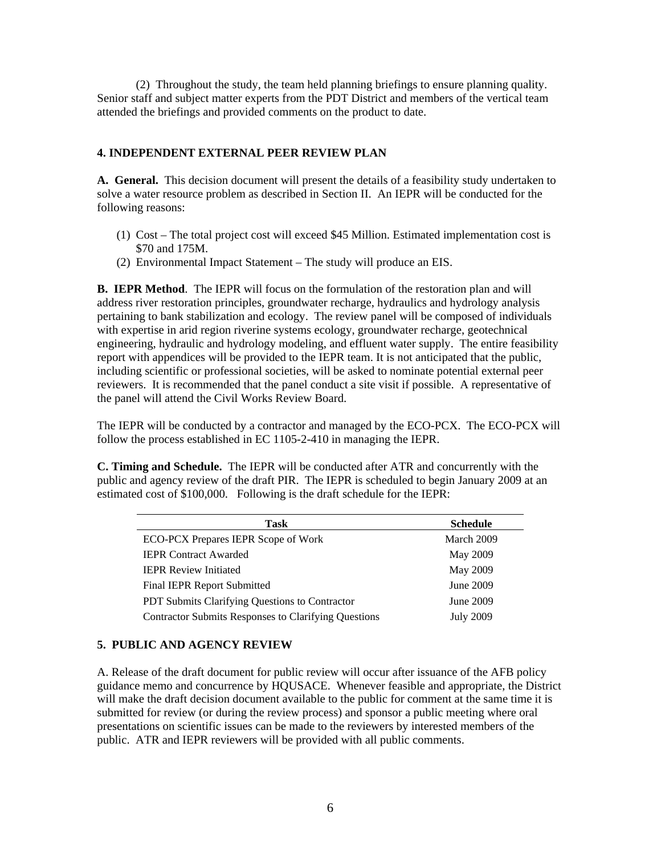(2) Throughout the study, the team held planning briefings to ensure planning quality. Senior staff and subject matter experts from the PDT District and members of the vertical team attended the briefings and provided comments on the product to date.

#### **4. INDEPENDENT EXTERNAL PEER REVIEW PLAN**

**A. General.** This decision document will present the details of a feasibility study undertaken to solve a water resource problem as described in Section II. An IEPR will be conducted for the following reasons:

- (1) Cost The total project cost will exceed \$45 Million. Estimated implementation cost is \$70 and 175M.
- (2) Environmental Impact Statement The study will produce an EIS.

**B. IEPR Method**. The IEPR will focus on the formulation of the restoration plan and will address river restoration principles, groundwater recharge, hydraulics and hydrology analysis pertaining to bank stabilization and ecology. The review panel will be composed of individuals with expertise in arid region riverine systems ecology, groundwater recharge, geotechnical engineering, hydraulic and hydrology modeling, and effluent water supply. The entire feasibility report with appendices will be provided to the IEPR team. It is not anticipated that the public, including scientific or professional societies, will be asked to nominate potential external peer reviewers. It is recommended that the panel conduct a site visit if possible. A representative of the panel will attend the Civil Works Review Board.

The IEPR will be conducted by a contractor and managed by the ECO-PCX. The ECO-PCX will follow the process established in EC 1105-2-410 in managing the IEPR.

**C. Timing and Schedule.** The IEPR will be conducted after ATR and concurrently with the public and agency review of the draft PIR. The IEPR is scheduled to begin January 2009 at an estimated cost of \$100,000. Following is the draft schedule for the IEPR:

| Task                                                        | <b>Schedule</b>  |
|-------------------------------------------------------------|------------------|
| ECO-PCX Prepares IEPR Scope of Work                         | March 2009       |
| <b>IEPR Contract Awarded</b>                                | May 2009         |
| <b>IEPR Review Initiated</b>                                | May 2009         |
| <b>Final IEPR Report Submitted</b>                          | June 2009        |
| PDT Submits Clarifying Questions to Contractor              | June 2009        |
| <b>Contractor Submits Responses to Clarifying Questions</b> | <b>July 2009</b> |

#### **5. PUBLIC AND AGENCY REVIEW**

A. Release of the draft document for public review will occur after issuance of the AFB policy guidance memo and concurrence by HQUSACE. Whenever feasible and appropriate, the District will make the draft decision document available to the public for comment at the same time it is submitted for review (or during the review process) and sponsor a public meeting where oral presentations on scientific issues can be made to the reviewers by interested members of the public. ATR and IEPR reviewers will be provided with all public comments.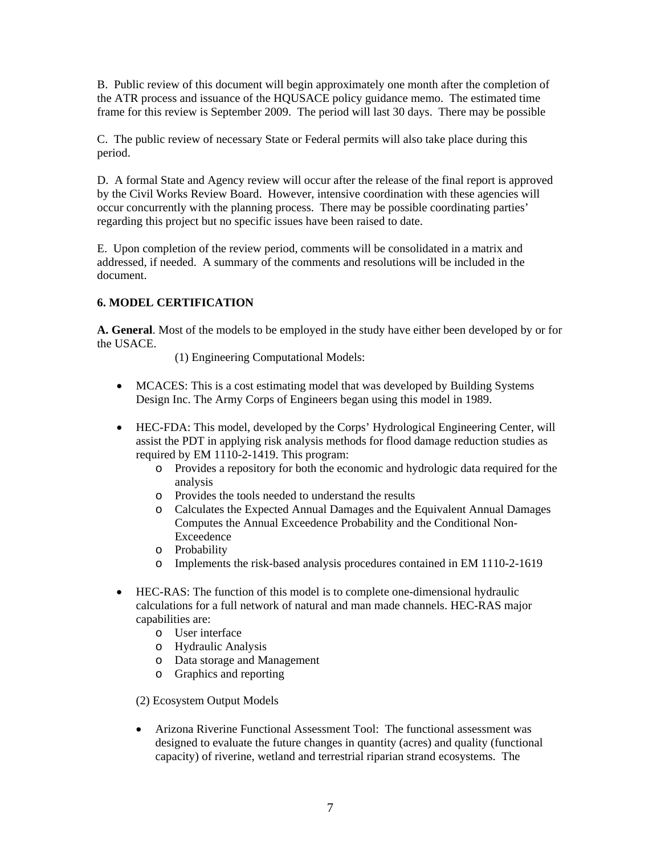B. Public review of this document will begin approximately one month after the completion of the ATR process and issuance of the HQUSACE policy guidance memo. The estimated time frame for this review is September 2009. The period will last 30 days. There may be possible

C. The public review of necessary State or Federal permits will also take place during this period.

D. A formal State and Agency review will occur after the release of the final report is approved by the Civil Works Review Board. However, intensive coordination with these agencies will occur concurrently with the planning process. There may be possible coordinating parties' regarding this project but no specific issues have been raised to date.

E. Upon completion of the review period, comments will be consolidated in a matrix and addressed, if needed. A summary of the comments and resolutions will be included in the document.

## **6. MODEL CERTIFICATION**

**A. General**. Most of the models to be employed in the study have either been developed by or for the USACE.

(1) Engineering Computational Models:

- MCACES: This is a cost estimating model that was developed by Building Systems Design Inc. The Army Corps of Engineers began using this model in 1989.
- HEC-FDA: This model, developed by the Corps' Hydrological Engineering Center, will assist the PDT in applying risk analysis methods for flood damage reduction studies as required by EM 1110-2-1419. This program:
	- o Provides a repository for both the economic and hydrologic data required for the analysis
	- o Provides the tools needed to understand the results
	- o Calculates the Expected Annual Damages and the Equivalent Annual Damages Computes the Annual Exceedence Probability and the Conditional Non-Exceedence
	- o Probability
	- o Implements the risk-based analysis procedures contained in EM 1110-2-1619
- HEC-RAS: The function of this model is to complete one-dimensional hydraulic calculations for a full network of natural and man made channels. HEC-RAS major capabilities are:
	- o User interface
	- o Hydraulic Analysis
	- o Data storage and Management
	- o Graphics and reporting

(2) Ecosystem Output Models

• Arizona Riverine Functional Assessment Tool: The functional assessment was designed to evaluate the future changes in quantity (acres) and quality (functional capacity) of riverine, wetland and terrestrial riparian strand ecosystems. The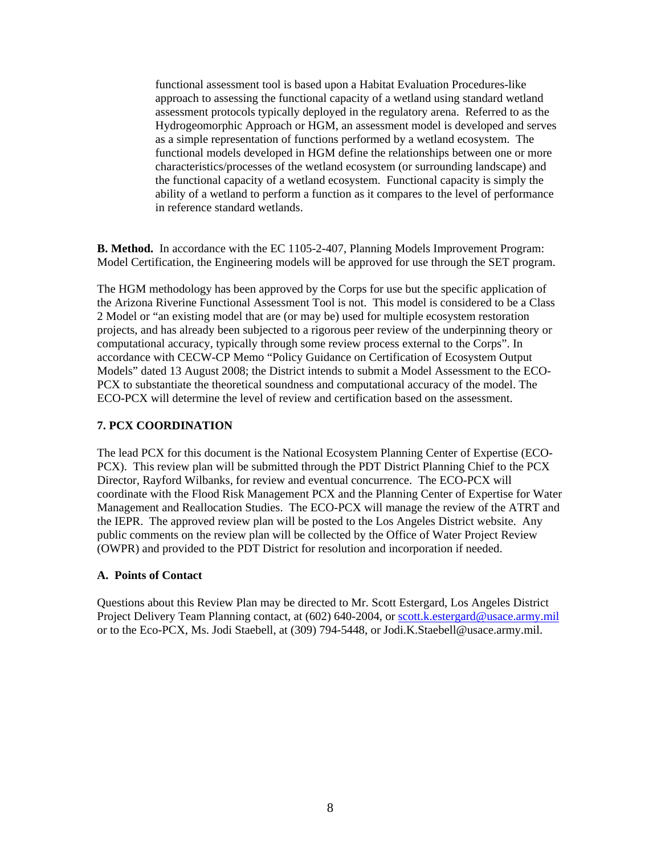functional assessment tool is based upon a Habitat Evaluation Procedures-like approach to assessing the functional capacity of a wetland using standard wetland assessment protocols typically deployed in the regulatory arena. Referred to as the Hydrogeomorphic Approach or HGM, an assessment model is developed and serves as a simple representation of functions performed by a wetland ecosystem. The functional models developed in HGM define the relationships between one or more characteristics/processes of the wetland ecosystem (or surrounding landscape) and the functional capacity of a wetland ecosystem. Functional capacity is simply the ability of a wetland to perform a function as it compares to the level of performance in reference standard wetlands.

**B. Method.** In accordance with the EC 1105-2-407, Planning Models Improvement Program: Model Certification, the Engineering models will be approved for use through the SET program.

The HGM methodology has been approved by the Corps for use but the specific application of the Arizona Riverine Functional Assessment Tool is not. This model is considered to be a Class 2 Model or "an existing model that are (or may be) used for multiple ecosystem restoration projects, and has already been subjected to a rigorous peer review of the underpinning theory or computational accuracy, typically through some review process external to the Corps". In accordance with CECW-CP Memo "Policy Guidance on Certification of Ecosystem Output Models" dated 13 August 2008; the District intends to submit a Model Assessment to the ECO-PCX to substantiate the theoretical soundness and computational accuracy of the model. The ECO-PCX will determine the level of review and certification based on the assessment.

#### **7. PCX COORDINATION**

The lead PCX for this document is the National Ecosystem Planning Center of Expertise (ECO-PCX). This review plan will be submitted through the PDT District Planning Chief to the PCX Director, Rayford Wilbanks, for review and eventual concurrence. The ECO-PCX will coordinate with the Flood Risk Management PCX and the Planning Center of Expertise for Water Management and Reallocation Studies. The ECO-PCX will manage the review of the ATRT and the IEPR. The approved review plan will be posted to the Los Angeles District website. Any public comments on the review plan will be collected by the Office of Water Project Review (OWPR) and provided to the PDT District for resolution and incorporation if needed.

#### **A. Points of Contact**

Questions about this Review Plan may be directed to Mr. Scott Estergard, Los Angeles District Project Delivery Team Planning contact, at (602) 640-2004, or [scott.k.estergard@usace.army.mil](mailto:scott.k.estergard@usace.army.mil) or to the Eco-PCX, Ms. Jodi Staebell, at (309) 794-5448, or Jodi.K.Staebell@usace.army.mil.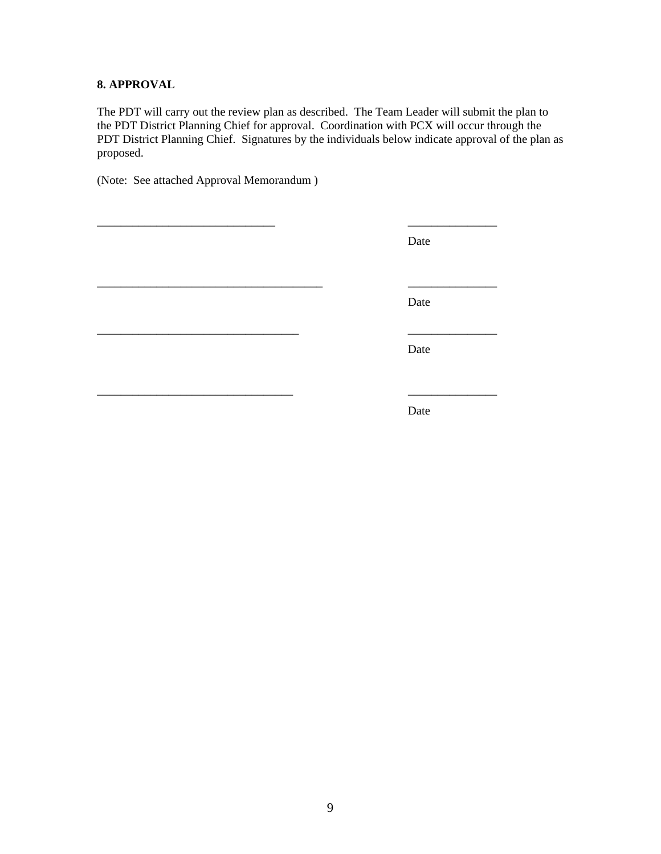# **8. APPROVAL**

The PDT will carry out the review plan as described. The Team Leader will submit the plan to the PDT District Planning Chief for approval. Coordination with PCX will occur through the PDT District Planning Chief. Signatures by the individuals below indicate approval of the plan as proposed.

(Note: See attached Approval Memorandum )

| Date |
|------|
| Date |
| Date |
| Date |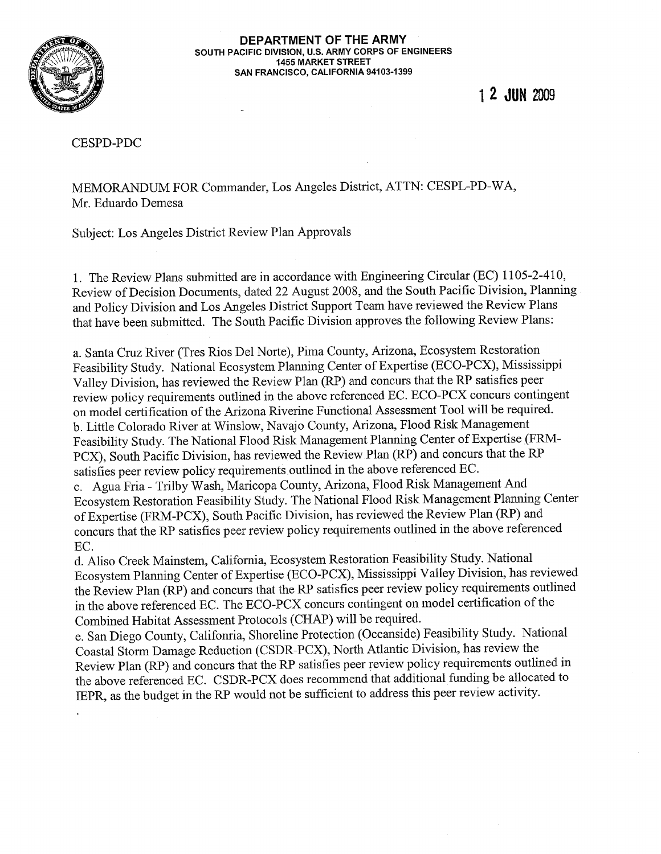

#### DEPARTMENT OF THE ARMY SOUTH PACIFIC DIVISION, U.S. ARMY CORPS OF ENGINEERS **1455 MARKET STREET** SAN FRANCISCO, CALIFORNIA 94103-1399

1 2 JUN 2009

**CESPD-PDC** 

MEMORANDUM FOR Commander, Los Angeles District, ATTN: CESPL-PD-WA, Mr. Eduardo Demesa

Subject: Los Angeles District Review Plan Approvals

1. The Review Plans submitted are in accordance with Engineering Circular (EC) 1105-2-410, Review of Decision Documents, dated 22 August 2008, and the South Pacific Division, Planning and Policy Division and Los Angeles District Support Team have reviewed the Review Plans that have been submitted. The South Pacific Division approves the following Review Plans:

a. Santa Cruz River (Tres Rios Del Norte), Pima County, Arizona, Ecosystem Restoration Feasibility Study. National Ecosystem Planning Center of Expertise (ECO-PCX), Mississippi Valley Division, has reviewed the Review Plan (RP) and concurs that the RP satisfies peer review policy requirements outlined in the above referenced EC. ECO-PCX concurs contingent on model certification of the Arizona Riverine Functional Assessment Tool will be required. b. Little Colorado River at Winslow, Navajo County, Arizona, Flood Risk Management Feasibility Study. The National Flood Risk Management Planning Center of Expertise (FRM-PCX), South Pacific Division, has reviewed the Review Plan (RP) and concurs that the RP satisfies peer review policy requirements outlined in the above referenced EC.

c. Agua Fria - Trilby Wash, Maricopa County, Arizona, Flood Risk Management And Ecosystem Restoration Feasibility Study. The National Flood Risk Management Planning Center of Expertise (FRM-PCX), South Pacific Division, has reviewed the Review Plan (RP) and concurs that the RP satisfies peer review policy requirements outlined in the above referenced EC.

d. Aliso Creek Mainstem, California, Ecosystem Restoration Feasibility Study. National Ecosystem Planning Center of Expertise (ECO-PCX), Mississippi Valley Division, has reviewed the Review Plan (RP) and concurs that the RP satisfies peer review policy requirements outlined in the above referenced EC. The ECO-PCX concurs contingent on model certification of the Combined Habitat Assessment Protocols (CHAP) will be required.

e. San Diego County, Califonria, Shoreline Protection (Oceanside) Feasibility Study. National Coastal Storm Damage Reduction (CSDR-PCX), North Atlantic Division, has review the Review Plan (RP) and concurs that the RP satisfies peer review policy requirements outlined in the above referenced EC. CSDR-PCX does recommend that additional funding be allocated to IEPR, as the budget in the RP would not be sufficient to address this peer review activity.